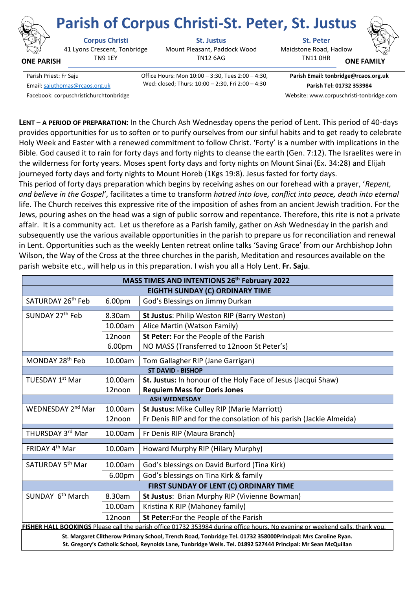

**ONE PARISH**

41 Lyons Crescent, Tonbridge TN9 1EY

**Corpus Christi St. Justus St. Peter**

Mount Pleasant, Paddock Wood TN12 6AG

Maidstone Road, Hadlow **Parish of Corpus Christi-St. Peter, St. Justus**



**ONE FAMI** 

Parish Priest: Fr Saju Office Hours: Mon 10:00 – 3:30, Tues 2:00 – 4:30, Wed: closed; Thurs: 10:00 – 2:30, Fri 2:00 – 4:30 Email[: sajuthomas@rcaos.org.uk](about:blank) **Parish Tel: 01732 353984**

**Parish Email: tonbridge@rcaos.org.uk**

TN11 0HR

Facebook: corpuschristichurchtonbridge Website: www.corpuschristi-tonbridge.com

**LENT – A PERIOD OF PREPARATION:** In the Church Ash Wednesday opens the period of Lent. This period of 40-days provides opportunities for us to soften or to purify ourselves from our sinful habits and to get ready to celebrate Holy Week and Easter with a renewed commitment to follow Christ. 'Forty' is a number with implications in the Bible. God caused it to rain for forty days and forty nights to cleanse the earth (Gen. 7:12). The Israelites were in the wilderness for forty years. Moses spent forty days and forty nights on Mount Sinai (Ex. 34:28) and Elijah journeyed forty days and forty nights to Mount Horeb (1Kgs 19:8). Jesus fasted for forty days.

This period of forty days preparation which begins by receiving ashes on our forehead with a prayer, '*Repent, and believe in the Gospel'*, facilitates a time to transform *hatred into love, conflict into peace, death into eternal*  life. The Church receives this expressive rite of the imposition of ashes from an ancient Jewish tradition. For the Jews, pouring ashes on the head was a sign of public sorrow and repentance. Therefore, this rite is not a private affair. It is a community act. Let us therefore as a Parish family, gather on Ash Wednesday in the parish and subsequently use the various available opportunities in the parish to prepare us for reconciliation and renewal in Lent. Opportunities such as the weekly Lenten retreat online talks 'Saving Grace' from our Archbishop John Wilson, the Way of the Cross at the three churches in the parish, Meditation and resources available on the parish website etc., will help us in this preparation. I wish you all a Holy Lent. **Fr. Saju**.

| MASS TIMES AND INTENTIONS 26 <sup>th</sup> February 2022                                                                     |         |                                                                     |
|------------------------------------------------------------------------------------------------------------------------------|---------|---------------------------------------------------------------------|
| EIGHTH SUNDAY (C) ORDINARY TIME                                                                                              |         |                                                                     |
| SATURDAY 26 <sup>th</sup> Feb                                                                                                | 6.00pm  | God's Blessings on Jimmy Durkan                                     |
| SUNDAY 27th Feb                                                                                                              | 8.30am  | St Justus: Philip Weston RIP (Barry Weston)                         |
|                                                                                                                              | 10.00am | Alice Martin (Watson Family)                                        |
|                                                                                                                              | 12noon  | St Peter: For the People of the Parish                              |
|                                                                                                                              | 6.00pm  | NO MASS (Transferred to 12noon St Peter's)                          |
| MONDAY 28 <sup>th</sup> Feb                                                                                                  | 10.00am | Tom Gallagher RIP (Jane Garrigan)                                   |
| <b>ST DAVID - BISHOP</b>                                                                                                     |         |                                                                     |
| TUESDAY 1st Mar                                                                                                              | 10.00am | St. Justus: In honour of the Holy Face of Jesus (Jacqui Shaw)       |
|                                                                                                                              | 12noon  | <b>Requiem Mass for Doris Jones</b>                                 |
| <b>ASH WEDNESDAY</b>                                                                                                         |         |                                                                     |
| WEDNESDAY 2 <sup>nd</sup> Mar                                                                                                | 10.00am | St Justus: Mike Culley RIP (Marie Marriott)                         |
|                                                                                                                              | 12noon  | Fr Denis RIP and for the consolation of his parish (Jackie Almeida) |
| THURSDAY 3rd Mar                                                                                                             | 10.00am | Fr Denis RIP (Maura Branch)                                         |
| FRIDAY 4th Mar                                                                                                               | 10.00am | Howard Murphy RIP (Hilary Murphy)                                   |
| SATURDAY 5 <sup>th</sup> Mar                                                                                                 | 10.00am | God's blessings on David Burford (Tina Kirk)                        |
|                                                                                                                              | 6.00pm  | God's blessings on Tina Kirk & family                               |
| FIRST SUNDAY OF LENT (C) ORDINARY TIME                                                                                       |         |                                                                     |
| SUNDAY 6 <sup>th</sup> March                                                                                                 | 8.30am  | St Justus: Brian Murphy RIP (Vivienne Bowman)                       |
|                                                                                                                              | 10.00am | Kristina K RIP (Mahoney family)                                     |
|                                                                                                                              | 12noon  | St Peter: For the People of the Parish                              |
| FISHER HALL BOOKINGS Please call the parish office 01732 353984 during office hours. No evening or weekend calls, thank you. |         |                                                                     |
| St. Margaret Clitherow Primary School, Trench Road, Tonbridge Tel. 01732 358000Principal: Mrs Caroline Ryan.                 |         |                                                                     |

**St. Gregory's Catholic School, Reynolds Lane, Tunbridge Wells. Tel. 01892 527444 Principal: Mr Sean McQuillan**